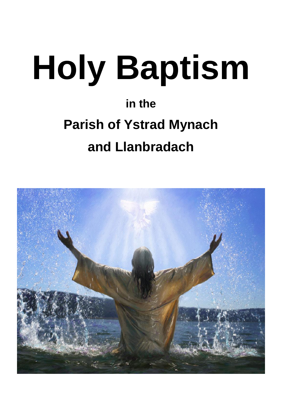# **Holy Baptism**

# **in the Parish of Ystrad Mynach and Llanbradach**

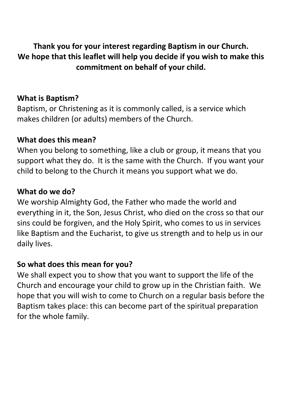**Thank you for your interest regarding Baptism in our Church. We hope that this leaflet will help you decide if you wish to make this commitment on behalf of your child.**

#### **What is Baptism?**

Baptism, or Christening as it is commonly called, is a service which makes children (or adults) members of the Church.

#### **What does this mean?**

When you belong to something, like a club or group, it means that you support what they do. It is the same with the Church. If you want your child to belong to the Church it means you support what we do.

#### **What do we do?**

We worship Almighty God, the Father who made the world and everything in it, the Son, Jesus Christ, who died on the cross so that our sins could be forgiven, and the Holy Spirit, who comes to us in services like Baptism and the Eucharist, to give us strength and to help us in our daily lives.

#### **So what does this mean for you?**

We shall expect you to show that you want to support the life of the Church and encourage your child to grow up in the Christian faith. We hope that you will wish to come to Church on a regular basis before the Baptism takes place: this can become part of the spiritual preparation for the whole family.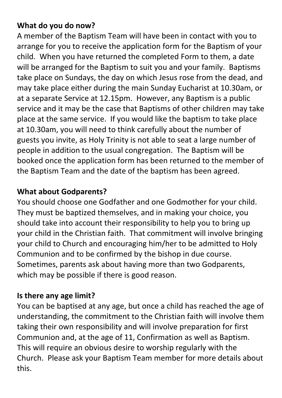#### **What do you do now?**

A member of the Baptism Team will have been in contact with you to arrange for you to receive the application form for the Baptism of your child. When you have returned the completed Form to them, a date will be arranged for the Baptism to suit you and your family. Baptisms take place on Sundays, the day on which Jesus rose from the dead, and may take place either during the main Sunday Eucharist at 10.30am, or at a separate Service at 12.15pm. However, any Baptism is a public service and it may be the case that Baptisms of other children may take place at the same service. If you would like the baptism to take place at 10.30am, you will need to think carefully about the number of guests you invite, as Holy Trinity is not able to seat a large number of people in addition to the usual congregation. The Baptism will be booked once the application form has been returned to the member of the Baptism Team and the date of the baptism has been agreed.

#### **What about Godparents?**

You should choose one Godfather and one Godmother for your child. They must be baptized themselves, and in making your choice, you should take into account their responsibility to help you to bring up your child in the Christian faith. That commitment will involve bringing your child to Church and encouraging him/her to be admitted to Holy Communion and to be confirmed by the bishop in due course. Sometimes, parents ask about having more than two Godparents, which may be possible if there is good reason.

### **Is there any age limit?**

You can be baptised at any age, but once a child has reached the age of understanding, the commitment to the Christian faith will involve them taking their own responsibility and will involve preparation for first Communion and, at the age of 11, Confirmation as well as Baptism. This will require an obvious desire to worship regularly with the Church. Please ask your Baptism Team member for more details about this.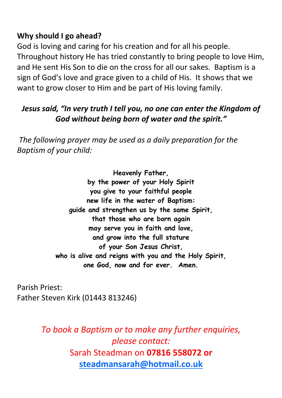#### **Why should I go ahead?**

God is loving and caring for his creation and for all his people. Throughout history He has tried constantly to bring people to love Him, and He sent His Son to die on the cross for all our sakes. Baptism is a sign of God's love and grace given to a child of His. It shows that we want to grow closer to Him and be part of His loving family.

#### *Jesus said, "In very truth I tell you, no one can enter the Kingdom of God without being born of water and the spirit."*

*The following prayer may be used as a daily preparation for the Baptism of your child:*

> **Heavenly Father, by the power of your Holy Spirit you give to your faithful people new life in the water of Baptism: guide and strengthen us by the same Spirit, that those who are born again may serve you in faith and love, and grow into the full stature of your Son Jesus Christ, who is alive and reigns with you and the Holy Spirit, one God, now and for ever. Amen.**

Parish Priest: Father Steven Kirk (01443 813246)

> *To book a Baptism or to make any further enquiries, please contact:*  Sarah Steadman on **07816 558072 or [steadmansarah@hotmail.co.uk](mailto:steadmansarah@hotmail.co.uk)**